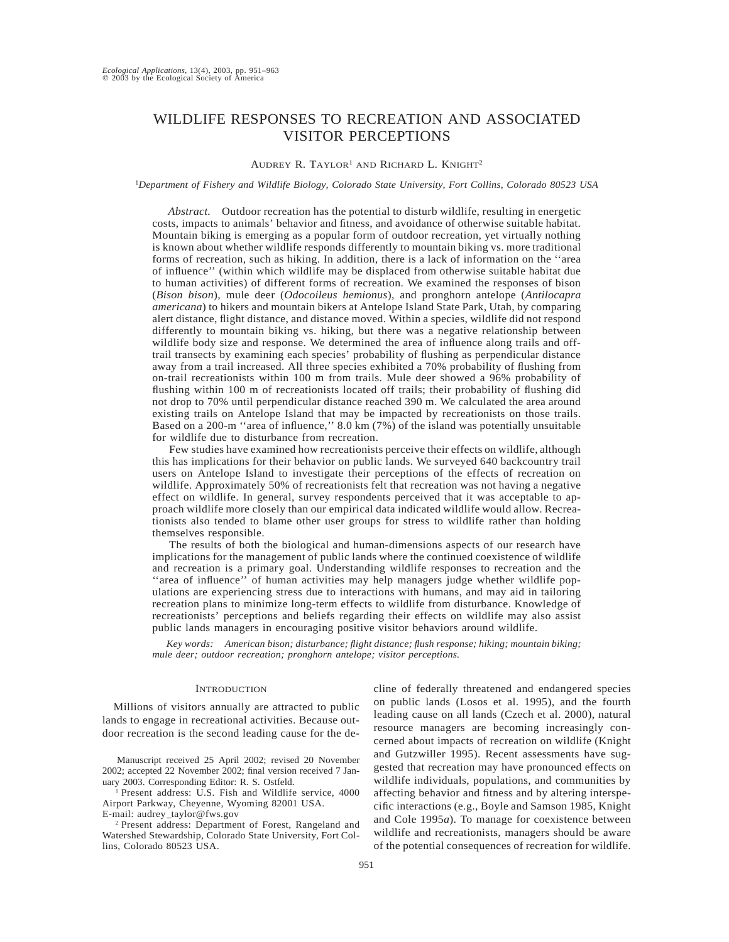# WILDLIFE RESPONSES TO RECREATION AND ASSOCIATED VISITOR PERCEPTIONS

# AUDREY R. TAYLOR<sup>1</sup> AND RICHARD L. KNIGHT<sup>2</sup>

<sup>1</sup>*Department of Fishery and Wildlife Biology, Colorado State University, Fort Collins, Colorado 80523 USA*

*Abstract.* Outdoor recreation has the potential to disturb wildlife, resulting in energetic costs, impacts to animals' behavior and fitness, and avoidance of otherwise suitable habitat. Mountain biking is emerging as a popular form of outdoor recreation, yet virtually nothing is known about whether wildlife responds differently to mountain biking vs. more traditional forms of recreation, such as hiking. In addition, there is a lack of information on the ''area of influence'' (within which wildlife may be displaced from otherwise suitable habitat due to human activities) of different forms of recreation. We examined the responses of bison (*Bison bison*), mule deer (*Odocoileus hemionus*), and pronghorn antelope (*Antilocapra americana*) to hikers and mountain bikers at Antelope Island State Park, Utah, by comparing alert distance, flight distance, and distance moved. Within a species, wildlife did not respond differently to mountain biking vs. hiking, but there was a negative relationship between wildlife body size and response. We determined the area of influence along trails and offtrail transects by examining each species' probability of flushing as perpendicular distance away from a trail increased. All three species exhibited a 70% probability of flushing from on-trail recreationists within 100 m from trails. Mule deer showed a 96% probability of flushing within 100 m of recreationists located off trails; their probability of flushing did not drop to 70% until perpendicular distance reached 390 m. We calculated the area around existing trails on Antelope Island that may be impacted by recreationists on those trails. Based on a 200-m "area of influence," 8.0 km (7%) of the island was potentially unsuitable for wildlife due to disturbance from recreation.

Few studies have examined how recreationists perceive their effects on wildlife, although this has implications for their behavior on public lands. We surveyed 640 backcountry trail users on Antelope Island to investigate their perceptions of the effects of recreation on wildlife. Approximately 50% of recreationists felt that recreation was not having a negative effect on wildlife. In general, survey respondents perceived that it was acceptable to approach wildlife more closely than our empirical data indicated wildlife would allow. Recreationists also tended to blame other user groups for stress to wildlife rather than holding themselves responsible.

The results of both the biological and human-dimensions aspects of our research have implications for the management of public lands where the continued coexistence of wildlife and recreation is a primary goal. Understanding wildlife responses to recreation and the ''area of influence'' of human activities may help managers judge whether wildlife populations are experiencing stress due to interactions with humans, and may aid in tailoring recreation plans to minimize long-term effects to wildlife from disturbance. Knowledge of recreationists' perceptions and beliefs regarding their effects on wildlife may also assist public lands managers in encouraging positive visitor behaviors around wildlife.

*Key words: American bison; disturbance; flight distance; flush response; hiking; mountain biking; mule deer; outdoor recreation; pronghorn antelope; visitor perceptions.*

#### **INTRODUCTION**

Millions of visitors annually are attracted to public lands to engage in recreational activities. Because outdoor recreation is the second leading cause for the de-

Manuscript received 25 April 2002; revised 20 November 2002; accepted 22 November 2002; final version received 7 January 2003. Corresponding Editor: R. S. Ostfeld.

<sup>1</sup> Present address: U.S. Fish and Wildlife service, 4000 Airport Parkway, Cheyenne, Wyoming 82001 USA. E-mail: audrey taylor@fws.gov

<sup>2</sup> Present address: Department of Forest, Rangeland and Watershed Stewardship, Colorado State University, Fort Collins, Colorado 80523 USA.

cline of federally threatened and endangered species on public lands (Losos et al. 1995), and the fourth leading cause on all lands (Czech et al. 2000), natural resource managers are becoming increasingly concerned about impacts of recreation on wildlife (Knight and Gutzwiller 1995). Recent assessments have suggested that recreation may have pronounced effects on wildlife individuals, populations, and communities by affecting behavior and fitness and by altering interspecific interactions (e.g., Boyle and Samson 1985, Knight and Cole 1995*a*). To manage for coexistence between wildlife and recreationists, managers should be aware of the potential consequences of recreation for wildlife.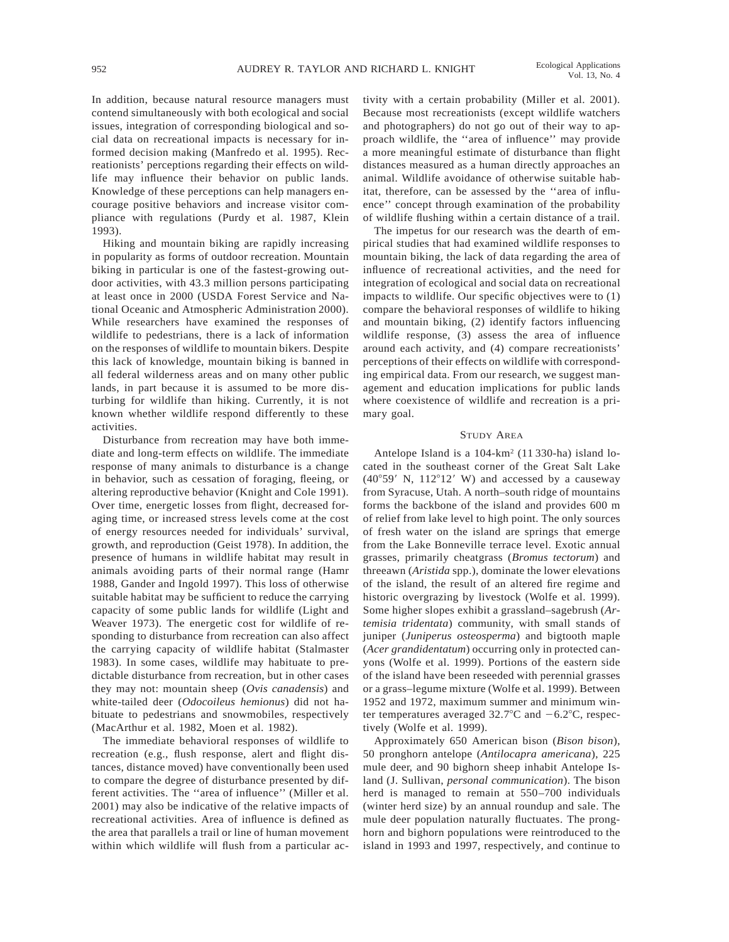In addition, because natural resource managers must contend simultaneously with both ecological and social issues, integration of corresponding biological and social data on recreational impacts is necessary for informed decision making (Manfredo et al. 1995). Recreationists' perceptions regarding their effects on wildlife may influence their behavior on public lands. Knowledge of these perceptions can help managers encourage positive behaviors and increase visitor compliance with regulations (Purdy et al. 1987, Klein 1993).

Hiking and mountain biking are rapidly increasing in popularity as forms of outdoor recreation. Mountain biking in particular is one of the fastest-growing outdoor activities, with 43.3 million persons participating at least once in 2000 (USDA Forest Service and National Oceanic and Atmospheric Administration 2000). While researchers have examined the responses of wildlife to pedestrians, there is a lack of information on the responses of wildlife to mountain bikers. Despite this lack of knowledge, mountain biking is banned in all federal wilderness areas and on many other public lands, in part because it is assumed to be more disturbing for wildlife than hiking. Currently, it is not known whether wildlife respond differently to these activities.

Disturbance from recreation may have both immediate and long-term effects on wildlife. The immediate response of many animals to disturbance is a change in behavior, such as cessation of foraging, fleeing, or altering reproductive behavior (Knight and Cole 1991). Over time, energetic losses from flight, decreased foraging time, or increased stress levels come at the cost of energy resources needed for individuals' survival, growth, and reproduction (Geist 1978). In addition, the presence of humans in wildlife habitat may result in animals avoiding parts of their normal range (Hamr 1988, Gander and Ingold 1997). This loss of otherwise suitable habitat may be sufficient to reduce the carrying capacity of some public lands for wildlife (Light and Weaver 1973). The energetic cost for wildlife of responding to disturbance from recreation can also affect the carrying capacity of wildlife habitat (Stalmaster 1983). In some cases, wildlife may habituate to predictable disturbance from recreation, but in other cases they may not: mountain sheep (*Ovis canadensis*) and white-tailed deer (*Odocoileus hemionus*) did not habituate to pedestrians and snowmobiles, respectively (MacArthur et al. 1982, Moen et al. 1982).

The immediate behavioral responses of wildlife to recreation (e.g., flush response, alert and flight distances, distance moved) have conventionally been used to compare the degree of disturbance presented by different activities. The ''area of influence'' (Miller et al. 2001) may also be indicative of the relative impacts of recreational activities. Area of influence is defined as the area that parallels a trail or line of human movement within which wildlife will flush from a particular activity with a certain probability (Miller et al. 2001). Because most recreationists (except wildlife watchers and photographers) do not go out of their way to approach wildlife, the ''area of influence'' may provide a more meaningful estimate of disturbance than flight distances measured as a human directly approaches an animal. Wildlife avoidance of otherwise suitable habitat, therefore, can be assessed by the ''area of influence'' concept through examination of the probability of wildlife flushing within a certain distance of a trail.

The impetus for our research was the dearth of empirical studies that had examined wildlife responses to mountain biking, the lack of data regarding the area of influence of recreational activities, and the need for integration of ecological and social data on recreational impacts to wildlife. Our specific objectives were to (1) compare the behavioral responses of wildlife to hiking and mountain biking, (2) identify factors influencing wildlife response, (3) assess the area of influence around each activity, and (4) compare recreationists' perceptions of their effects on wildlife with corresponding empirical data. From our research, we suggest management and education implications for public lands where coexistence of wildlife and recreation is a primary goal.

#### STUDY AREA

Antelope Island is a 104-km2 (11 330-ha) island located in the southeast corner of the Great Salt Lake  $(40°59' N, 112°12' W)$  and accessed by a causeway from Syracuse, Utah. A north–south ridge of mountains forms the backbone of the island and provides 600 m of relief from lake level to high point. The only sources of fresh water on the island are springs that emerge from the Lake Bonneville terrace level. Exotic annual grasses, primarily cheatgrass (*Bromus tectorum*) and threeawn (*Aristida* spp.), dominate the lower elevations of the island, the result of an altered fire regime and historic overgrazing by livestock (Wolfe et al. 1999). Some higher slopes exhibit a grassland–sagebrush (*Artemisia tridentata*) community, with small stands of juniper (*Juniperus osteosperma*) and bigtooth maple (*Acer grandidentatum*) occurring only in protected canyons (Wolfe et al. 1999). Portions of the eastern side of the island have been reseeded with perennial grasses or a grass–legume mixture (Wolfe et al. 1999). Between 1952 and 1972, maximum summer and minimum winter temperatures averaged  $32.7^{\circ}$ C and  $-6.2^{\circ}$ C, respectively (Wolfe et al. 1999).

Approximately 650 American bison (*Bison bison*), 50 pronghorn antelope (*Antilocapra americana*), 225 mule deer, and 90 bighorn sheep inhabit Antelope Island (J. Sullivan, *personal communication*). The bison herd is managed to remain at 550–700 individuals (winter herd size) by an annual roundup and sale. The mule deer population naturally fluctuates. The pronghorn and bighorn populations were reintroduced to the island in 1993 and 1997, respectively, and continue to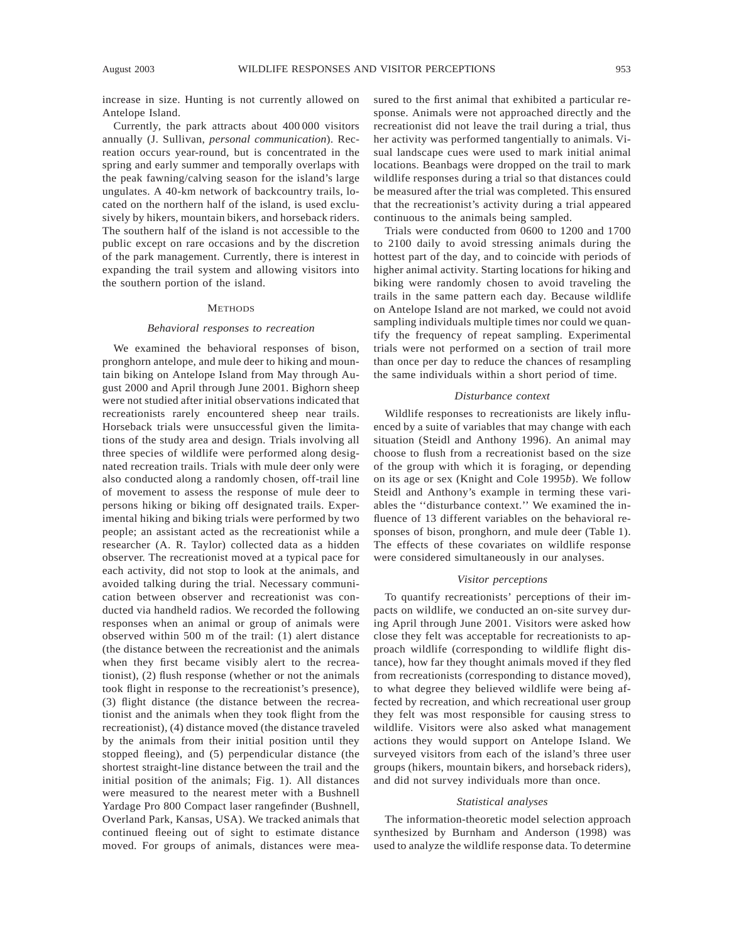increase in size. Hunting is not currently allowed on Antelope Island.

Currently, the park attracts about 400 000 visitors annually (J. Sullivan, *personal communication*). Recreation occurs year-round, but is concentrated in the spring and early summer and temporally overlaps with the peak fawning/calving season for the island's large ungulates. A 40-km network of backcountry trails, located on the northern half of the island, is used exclusively by hikers, mountain bikers, and horseback riders. The southern half of the island is not accessible to the public except on rare occasions and by the discretion of the park management. Currently, there is interest in expanding the trail system and allowing visitors into the southern portion of the island.

# **METHODS**

## *Behavioral responses to recreation*

We examined the behavioral responses of bison, pronghorn antelope, and mule deer to hiking and mountain biking on Antelope Island from May through August 2000 and April through June 2001. Bighorn sheep were not studied after initial observations indicated that recreationists rarely encountered sheep near trails. Horseback trials were unsuccessful given the limitations of the study area and design. Trials involving all three species of wildlife were performed along designated recreation trails. Trials with mule deer only were also conducted along a randomly chosen, off-trail line of movement to assess the response of mule deer to persons hiking or biking off designated trails. Experimental hiking and biking trials were performed by two people; an assistant acted as the recreationist while a researcher (A. R. Taylor) collected data as a hidden observer. The recreationist moved at a typical pace for each activity, did not stop to look at the animals, and avoided talking during the trial. Necessary communication between observer and recreationist was conducted via handheld radios. We recorded the following responses when an animal or group of animals were observed within 500 m of the trail: (1) alert distance (the distance between the recreationist and the animals when they first became visibly alert to the recreationist), (2) flush response (whether or not the animals took flight in response to the recreationist's presence), (3) flight distance (the distance between the recreationist and the animals when they took flight from the recreationist), (4) distance moved (the distance traveled by the animals from their initial position until they stopped fleeing), and (5) perpendicular distance (the shortest straight-line distance between the trail and the initial position of the animals; Fig. 1). All distances were measured to the nearest meter with a Bushnell Yardage Pro 800 Compact laser rangefinder (Bushnell, Overland Park, Kansas, USA). We tracked animals that continued fleeing out of sight to estimate distance moved. For groups of animals, distances were measured to the first animal that exhibited a particular response. Animals were not approached directly and the recreationist did not leave the trail during a trial, thus her activity was performed tangentially to animals. Visual landscape cues were used to mark initial animal locations. Beanbags were dropped on the trail to mark wildlife responses during a trial so that distances could be measured after the trial was completed. This ensured that the recreationist's activity during a trial appeared continuous to the animals being sampled.

Trials were conducted from 0600 to 1200 and 1700 to 2100 daily to avoid stressing animals during the hottest part of the day, and to coincide with periods of higher animal activity. Starting locations for hiking and biking were randomly chosen to avoid traveling the trails in the same pattern each day. Because wildlife on Antelope Island are not marked, we could not avoid sampling individuals multiple times nor could we quantify the frequency of repeat sampling. Experimental trials were not performed on a section of trail more than once per day to reduce the chances of resampling the same individuals within a short period of time.

## *Disturbance context*

Wildlife responses to recreationists are likely influenced by a suite of variables that may change with each situation (Steidl and Anthony 1996). An animal may choose to flush from a recreationist based on the size of the group with which it is foraging, or depending on its age or sex (Knight and Cole 1995*b*). We follow Steidl and Anthony's example in terming these variables the ''disturbance context.'' We examined the influence of 13 different variables on the behavioral responses of bison, pronghorn, and mule deer (Table 1). The effects of these covariates on wildlife response were considered simultaneously in our analyses.

## *Visitor perceptions*

To quantify recreationists' perceptions of their impacts on wildlife, we conducted an on-site survey during April through June 2001. Visitors were asked how close they felt was acceptable for recreationists to approach wildlife (corresponding to wildlife flight distance), how far they thought animals moved if they fled from recreationists (corresponding to distance moved), to what degree they believed wildlife were being affected by recreation, and which recreational user group they felt was most responsible for causing stress to wildlife. Visitors were also asked what management actions they would support on Antelope Island. We surveyed visitors from each of the island's three user groups (hikers, mountain bikers, and horseback riders), and did not survey individuals more than once.

#### *Statistical analyses*

The information-theoretic model selection approach synthesized by Burnham and Anderson (1998) was used to analyze the wildlife response data. To determine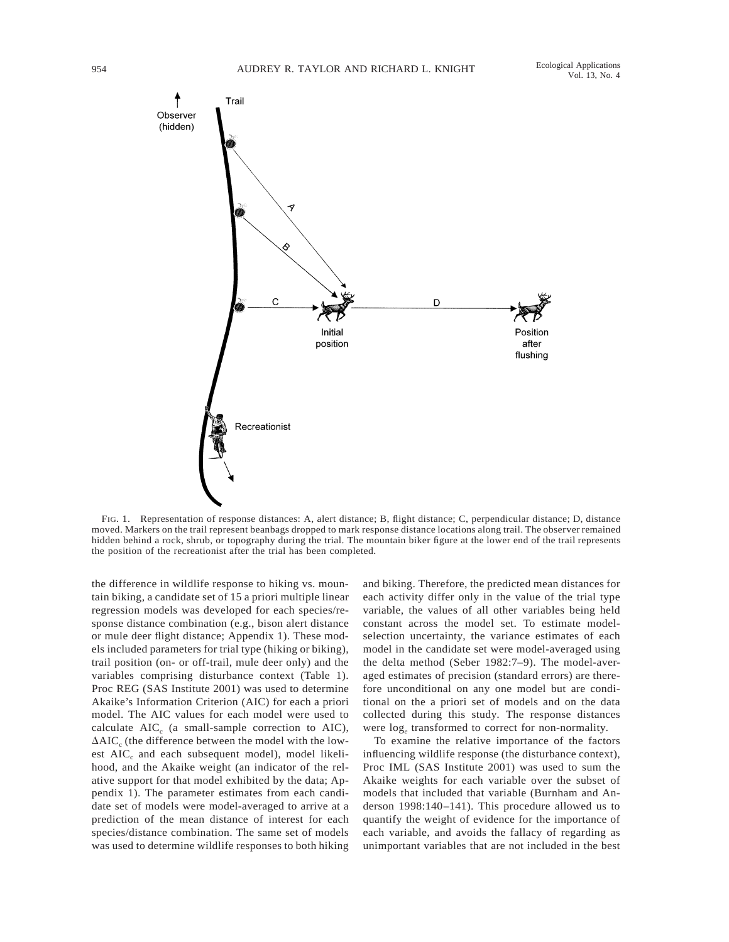

FIG. 1. Representation of response distances: A, alert distance; B, flight distance; C, perpendicular distance; D, distance moved. Markers on the trail represent beanbags dropped to mark response distance locations along trail. The observer remained hidden behind a rock, shrub, or topography during the trial. The mountain biker figure at the lower end of the trail represents the position of the recreationist after the trial has been completed.

the difference in wildlife response to hiking vs. mountain biking, a candidate set of 15 a priori multiple linear regression models was developed for each species/response distance combination (e.g., bison alert distance or mule deer flight distance; Appendix 1). These models included parameters for trial type (hiking or biking), trail position (on- or off-trail, mule deer only) and the variables comprising disturbance context (Table 1). Proc REG (SAS Institute 2001) was used to determine Akaike's Information Criterion (AIC) for each a priori model. The AIC values for each model were used to calculate  $AIC_c$  (a small-sample correction to  $AIC$ ),  $\Delta AIC_c$  (the difference between the model with the lowest AIC<sub>c</sub> and each subsequent model), model likelihood, and the Akaike weight (an indicator of the relative support for that model exhibited by the data; Appendix 1). The parameter estimates from each candidate set of models were model-averaged to arrive at a prediction of the mean distance of interest for each species/distance combination. The same set of models was used to determine wildlife responses to both hiking

and biking. Therefore, the predicted mean distances for each activity differ only in the value of the trial type variable, the values of all other variables being held constant across the model set. To estimate modelselection uncertainty, the variance estimates of each model in the candidate set were model-averaged using the delta method (Seber 1982:7–9). The model-averaged estimates of precision (standard errors) are therefore unconditional on any one model but are conditional on the a priori set of models and on the data collected during this study. The response distances were  $log_e$  transformed to correct for non-normality.

To examine the relative importance of the factors influencing wildlife response (the disturbance context), Proc IML (SAS Institute 2001) was used to sum the Akaike weights for each variable over the subset of models that included that variable (Burnham and Anderson 1998:140–141). This procedure allowed us to quantify the weight of evidence for the importance of each variable, and avoids the fallacy of regarding as unimportant variables that are not included in the best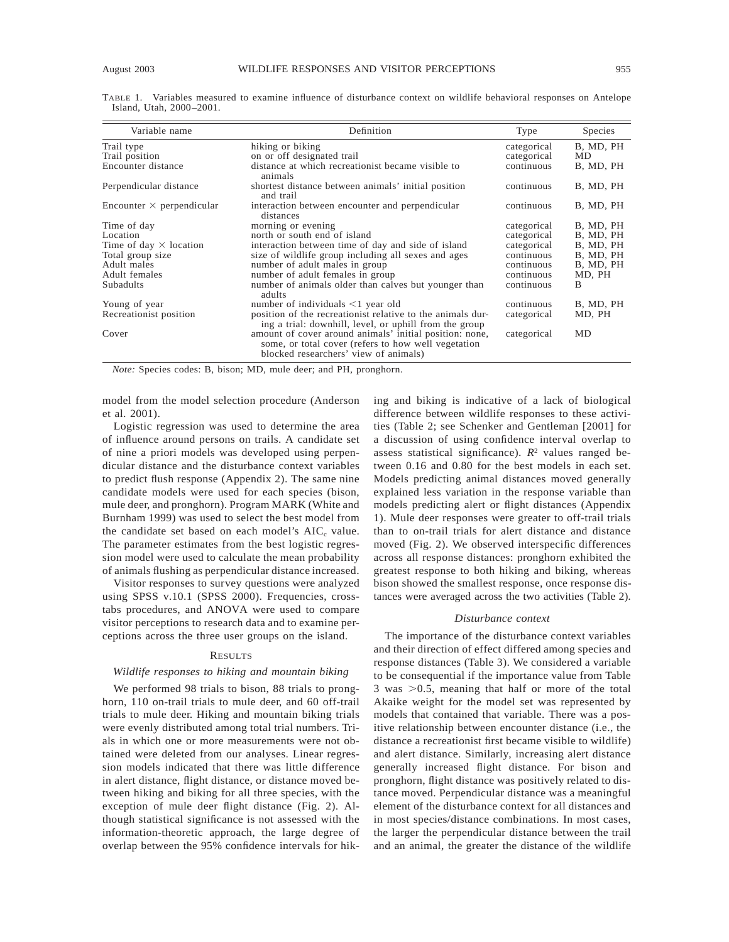TABLE 1. Variables measured to examine influence of disturbance context on wildlife behavioral responses on Antelope Island, Utah, 2000–2001.

| Variable name                    | Definition                                                                                                                                              | Type        | <b>Species</b> |
|----------------------------------|---------------------------------------------------------------------------------------------------------------------------------------------------------|-------------|----------------|
| Trail type                       | hiking or biking                                                                                                                                        | categorical | B, MD, PH      |
| Trail position                   | on or off designated trail                                                                                                                              | categorical | MD             |
| Encounter distance               | distance at which recreationist became visible to<br>animals                                                                                            | continuous  | B, MD, PH      |
| Perpendicular distance           | shortest distance between animals' initial position<br>and trail                                                                                        | continuous  | B, MD, PH      |
| Encounter $\times$ perpendicular | interaction between encounter and perpendicular<br>distances                                                                                            | continuous  | B, MD, PH      |
| Time of day                      | morning or evening                                                                                                                                      | categorical | B, MD, PH      |
| Location                         | north or south end of island                                                                                                                            | categorical | B, MD, PH      |
| Time of day $\times$ location    | interaction between time of day and side of island                                                                                                      | categorical | B, MD, PH      |
| Total group size                 | size of wildlife group including all sexes and ages                                                                                                     | continuous  | B, MD, PH      |
| Adult males                      | number of adult males in group                                                                                                                          | continuous  | B, MD, PH      |
| Adult females                    | number of adult females in group                                                                                                                        | continuous  | MD, PH         |
| Subadults                        | number of animals older than calves but younger than<br>adults                                                                                          | continuous  | B.             |
| Young of year                    | number of individuals $\leq 1$ year old                                                                                                                 | continuous  | B, MD, PH      |
| Recreationist position           | position of the recreationist relative to the animals dur-<br>ing a trial: downhill, level, or uphill from the group                                    | categorical | MD, PH         |
| Cover                            | amount of cover around animals' initial position: none,<br>some, or total cover (refers to how well vegetation<br>blocked researchers' view of animals) | categorical | MD             |

*Note:* Species codes: B, bison; MD, mule deer; and PH, pronghorn.

model from the model selection procedure (Anderson et al. 2001).

Logistic regression was used to determine the area of influence around persons on trails. A candidate set of nine a priori models was developed using perpendicular distance and the disturbance context variables to predict flush response (Appendix 2). The same nine candidate models were used for each species (bison, mule deer, and pronghorn). Program MARK (White and Burnham 1999) was used to select the best model from the candidate set based on each model's  $AIC_c$  value. The parameter estimates from the best logistic regression model were used to calculate the mean probability of animals flushing as perpendicular distance increased.

Visitor responses to survey questions were analyzed using SPSS v.10.1 (SPSS 2000). Frequencies, crosstabs procedures, and ANOVA were used to compare visitor perceptions to research data and to examine perceptions across the three user groups on the island.

## RESULTS

# *Wildlife responses to hiking and mountain biking*

We performed 98 trials to bison, 88 trials to pronghorn, 110 on-trail trials to mule deer, and 60 off-trail trials to mule deer. Hiking and mountain biking trials were evenly distributed among total trial numbers. Trials in which one or more measurements were not obtained were deleted from our analyses. Linear regression models indicated that there was little difference in alert distance, flight distance, or distance moved between hiking and biking for all three species, with the exception of mule deer flight distance (Fig. 2). Although statistical significance is not assessed with the information-theoretic approach, the large degree of overlap between the 95% confidence intervals for hiking and biking is indicative of a lack of biological difference between wildlife responses to these activities (Table 2; see Schenker and Gentleman [2001] for a discussion of using confidence interval overlap to assess statistical significance).  $R^2$  values ranged between 0.16 and 0.80 for the best models in each set. Models predicting animal distances moved generally explained less variation in the response variable than models predicting alert or flight distances (Appendix 1). Mule deer responses were greater to off-trail trials than to on-trail trials for alert distance and distance moved (Fig. 2). We observed interspecific differences across all response distances: pronghorn exhibited the greatest response to both hiking and biking, whereas bison showed the smallest response, once response distances were averaged across the two activities (Table 2).

# *Disturbance context*

The importance of the disturbance context variables and their direction of effect differed among species and response distances (Table 3). We considered a variable to be consequential if the importance value from Table  $3$  was  $>0.5$ , meaning that half or more of the total Akaike weight for the model set was represented by models that contained that variable. There was a positive relationship between encounter distance (i.e., the distance a recreationist first became visible to wildlife) and alert distance. Similarly, increasing alert distance generally increased flight distance. For bison and pronghorn, flight distance was positively related to distance moved. Perpendicular distance was a meaningful element of the disturbance context for all distances and in most species/distance combinations. In most cases, the larger the perpendicular distance between the trail and an animal, the greater the distance of the wildlife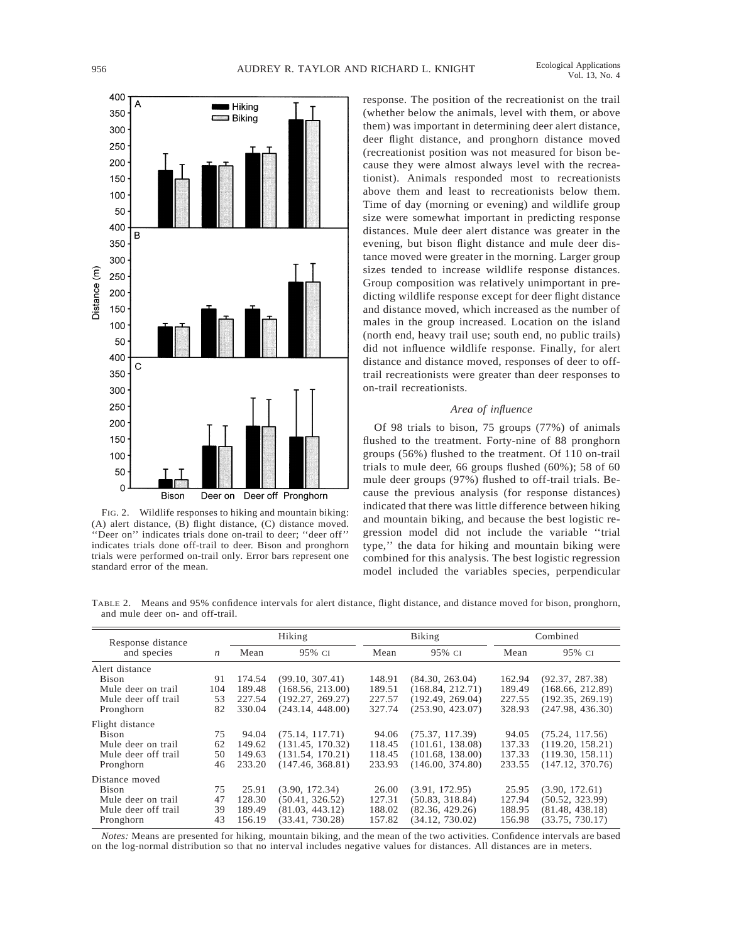

FIG. 2. Wildlife responses to hiking and mountain biking: (A) alert distance, (B) flight distance, (C) distance moved. "Deer on" indicates trials done on-trail to deer; "deer off" indicates trials done off-trail to deer. Bison and pronghorn trials were performed on-trail only. Error bars represent one standard error of the mean.

response. The position of the recreationist on the trail (whether below the animals, level with them, or above them) was important in determining deer alert distance, deer flight distance, and pronghorn distance moved (recreationist position was not measured for bison because they were almost always level with the recreationist). Animals responded most to recreationists above them and least to recreationists below them. Time of day (morning or evening) and wildlife group size were somewhat important in predicting response distances. Mule deer alert distance was greater in the evening, but bison flight distance and mule deer distance moved were greater in the morning. Larger group sizes tended to increase wildlife response distances. Group composition was relatively unimportant in predicting wildlife response except for deer flight distance and distance moved, which increased as the number of males in the group increased. Location on the island (north end, heavy trail use; south end, no public trails) did not influence wildlife response. Finally, for alert distance and distance moved, responses of deer to offtrail recreationists were greater than deer responses to on-trail recreationists.

#### *Area of influence*

Of 98 trials to bison, 75 groups (77%) of animals flushed to the treatment. Forty-nine of 88 pronghorn groups (56%) flushed to the treatment. Of 110 on-trail trials to mule deer, 66 groups flushed (60%); 58 of 60 mule deer groups (97%) flushed to off-trail trials. Because the previous analysis (for response distances) indicated that there was little difference between hiking and mountain biking, and because the best logistic regression model did not include the variable ''trial type,'' the data for hiking and mountain biking were combined for this analysis. The best logistic regression model included the variables species, perpendicular

TABLE 2. Means and 95% confidence intervals for alert distance, flight distance, and distance moved for bison, pronghorn, and mule deer on- and off-trail.

| Response distance   |                  | Hiking |                  | Biking |                  | Combined |                  |
|---------------------|------------------|--------|------------------|--------|------------------|----------|------------------|
| and species         | $\boldsymbol{n}$ | Mean   | 95% CI           | Mean   | 95% CI           | Mean     | 95% CI           |
| Alert distance      |                  |        |                  |        |                  |          |                  |
| <b>Bison</b>        | 91               | 174.54 | (99.10, 307.41)  | 148.91 | (84.30, 263.04)  | 162.94   | (92.37, 287.38)  |
| Mule deer on trail  | 104              | 189.48 | (168.56, 213.00) | 189.51 | (168.84, 212.71) | 189.49   | (168.66, 212.89) |
| Mule deer off trail | 53               | 227.54 | (192.27, 269.27) | 227.57 | (192.49, 269.04) | 227.55   | (192.35, 269.19) |
| Pronghorn           | 82               | 330.04 | (243.14, 448.00) | 327.74 | (253.90, 423.07) | 328.93   | (247.98, 436.30) |
| Flight distance     |                  |        |                  |        |                  |          |                  |
| <b>Bison</b>        | 75               | 94.04  | (75.14, 117.71)  | 94.06  | (75.37, 117.39)  | 94.05    | (75.24, 117.56)  |
| Mule deer on trail  | 62               | 149.62 | (131.45, 170.32) | 118.45 | (101.61, 138.08) | 137.33   | (119.20, 158.21) |
| Mule deer off trail | 50               | 149.63 | (131.54, 170.21) | 118.45 | (101.68, 138.00) | 137.33   | (119.30, 158.11) |
| Pronghorn           | 46               | 233.20 | (147.46, 368.81) | 233.93 | (146.00, 374.80) | 233.55   | (147.12, 370.76) |
| Distance moved      |                  |        |                  |        |                  |          |                  |
| <b>Bison</b>        | 75               | 25.91  | (3.90, 172.34)   | 26.00  | (3.91, 172.95)   | 25.95    | (3.90, 172.61)   |
| Mule deer on trail  | 47               | 128.30 | (50.41, 326.52)  | 127.31 | (50.83, 318.84)  | 127.94   | (50.52, 323.99)  |
| Mule deer off trail | 39               | 189.49 | (81.03, 443.12)  | 188.02 | (82.36, 429.26)  | 188.95   | (81.48, 438.18)  |
| Pronghorn           | 43               | 156.19 | (33.41, 730.28)  | 157.82 | (34.12, 730.02)  | 156.98   | (33.75, 730.17)  |

*Notes:* Means are presented for hiking, mountain biking, and the mean of the two activities. Confidence intervals are based on the log-normal distribution so that no interval includes negative values for distances. All distances are in meters.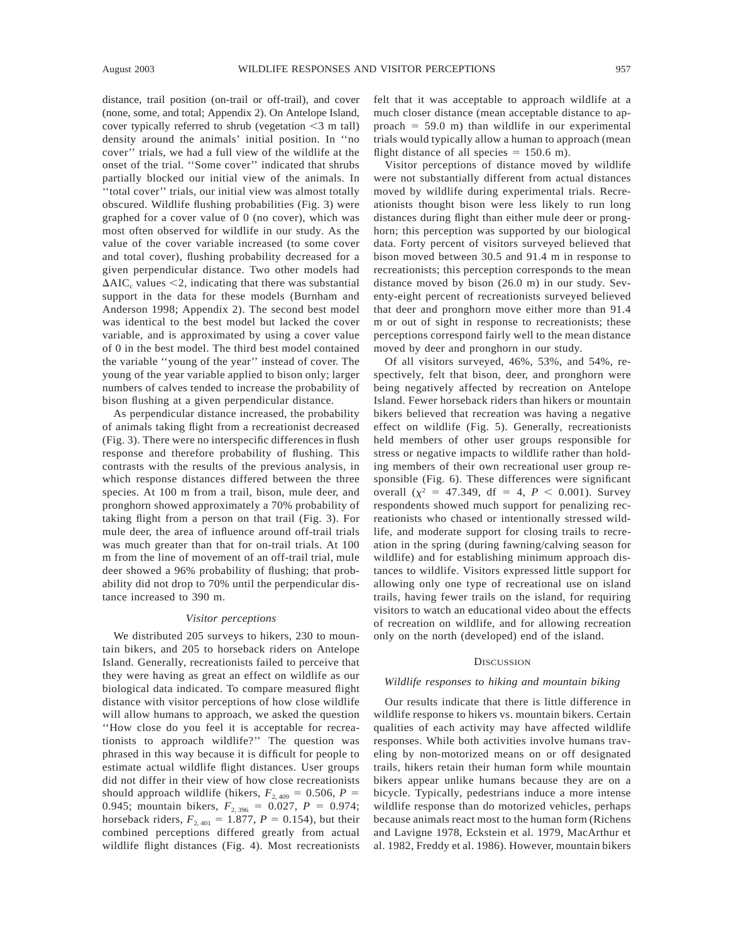distance, trail position (on-trail or off-trail), and cover (none, some, and total; Appendix 2). On Antelope Island, cover typically referred to shrub (vegetation  $\leq$ 3 m tall) density around the animals' initial position. In ''no cover'' trials, we had a full view of the wildlife at the onset of the trial. ''Some cover'' indicated that shrubs partially blocked our initial view of the animals. In ''total cover'' trials, our initial view was almost totally obscured. Wildlife flushing probabilities (Fig. 3) were graphed for a cover value of 0 (no cover), which was most often observed for wildlife in our study. As the value of the cover variable increased (to some cover and total cover), flushing probability decreased for a given perpendicular distance. Two other models had  $\Delta AIC_c$  values <2, indicating that there was substantial support in the data for these models (Burnham and Anderson 1998; Appendix 2). The second best model was identical to the best model but lacked the cover variable, and is approximated by using a cover value of 0 in the best model. The third best model contained the variable ''young of the year'' instead of cover. The young of the year variable applied to bison only; larger numbers of calves tended to increase the probability of bison flushing at a given perpendicular distance.

As perpendicular distance increased, the probability of animals taking flight from a recreationist decreased (Fig. 3). There were no interspecific differences in flush response and therefore probability of flushing. This contrasts with the results of the previous analysis, in which response distances differed between the three species. At 100 m from a trail, bison, mule deer, and pronghorn showed approximately a 70% probability of taking flight from a person on that trail (Fig. 3). For mule deer, the area of influence around off-trail trials was much greater than that for on-trail trials. At 100 m from the line of movement of an off-trail trial, mule deer showed a 96% probability of flushing; that probability did not drop to 70% until the perpendicular distance increased to 390 m.

# *Visitor perceptions*

We distributed 205 surveys to hikers, 230 to mountain bikers, and 205 to horseback riders on Antelope Island. Generally, recreationists failed to perceive that they were having as great an effect on wildlife as our biological data indicated. To compare measured flight distance with visitor perceptions of how close wildlife will allow humans to approach, we asked the question ''How close do you feel it is acceptable for recreationists to approach wildlife?'' The question was phrased in this way because it is difficult for people to estimate actual wildlife flight distances. User groups did not differ in their view of how close recreationists should approach wildlife (hikers,  $F_{2,409} = 0.506$ ,  $P =$ 0.945; mountain bikers,  $F_{2,396} = 0.027$ ,  $P = 0.974$ ; horseback riders,  $F_{2,401} = 1.877$ ,  $P = 0.154$ ), but their combined perceptions differed greatly from actual wildlife flight distances (Fig. 4). Most recreationists felt that it was acceptable to approach wildlife at a much closer distance (mean acceptable distance to approach  $= 59.0$  m) than wildlife in our experimental trials would typically allow a human to approach (mean flight distance of all species  $= 150.6$  m).

Visitor perceptions of distance moved by wildlife were not substantially different from actual distances moved by wildlife during experimental trials. Recreationists thought bison were less likely to run long distances during flight than either mule deer or pronghorn; this perception was supported by our biological data. Forty percent of visitors surveyed believed that bison moved between 30.5 and 91.4 m in response to recreationists; this perception corresponds to the mean distance moved by bison (26.0 m) in our study. Seventy-eight percent of recreationists surveyed believed that deer and pronghorn move either more than 91.4 m or out of sight in response to recreationists; these perceptions correspond fairly well to the mean distance moved by deer and pronghorn in our study.

Of all visitors surveyed, 46%, 53%, and 54%, respectively, felt that bison, deer, and pronghorn were being negatively affected by recreation on Antelope Island. Fewer horseback riders than hikers or mountain bikers believed that recreation was having a negative effect on wildlife (Fig. 5). Generally, recreationists held members of other user groups responsible for stress or negative impacts to wildlife rather than holding members of their own recreational user group responsible (Fig. 6). These differences were significant overall ( $\chi^2$  = 47.349, df = 4, *P* < 0.001). Survey respondents showed much support for penalizing recreationists who chased or intentionally stressed wildlife, and moderate support for closing trails to recreation in the spring (during fawning/calving season for wildlife) and for establishing minimum approach distances to wildlife. Visitors expressed little support for allowing only one type of recreational use on island trails, having fewer trails on the island, for requiring visitors to watch an educational video about the effects of recreation on wildlife, and for allowing recreation only on the north (developed) end of the island.

# **DISCUSSION**

# *Wildlife responses to hiking and mountain biking*

Our results indicate that there is little difference in wildlife response to hikers vs. mountain bikers. Certain qualities of each activity may have affected wildlife responses. While both activities involve humans traveling by non-motorized means on or off designated trails, hikers retain their human form while mountain bikers appear unlike humans because they are on a bicycle. Typically, pedestrians induce a more intense wildlife response than do motorized vehicles, perhaps because animals react most to the human form (Richens and Lavigne 1978, Eckstein et al. 1979, MacArthur et al. 1982, Freddy et al. 1986). However, mountain bikers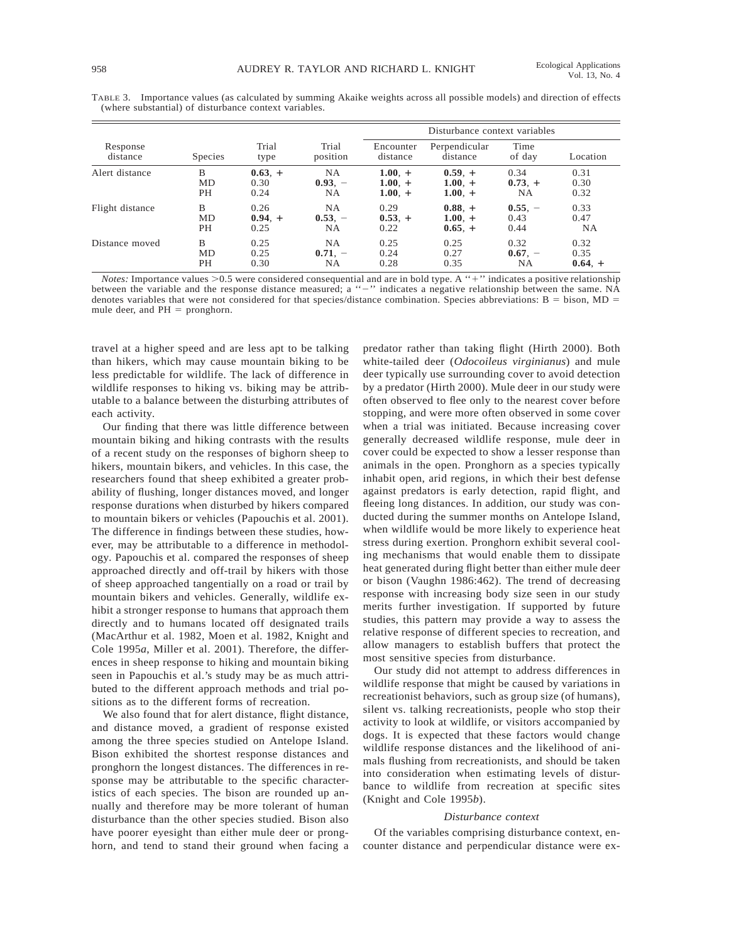|                      |                |               |                   | Disturbance context variables |                           |                |           |
|----------------------|----------------|---------------|-------------------|-------------------------------|---------------------------|----------------|-----------|
| Response<br>distance | <b>Species</b> | Trial<br>type | Trial<br>position | Encounter<br>distance         | Perpendicular<br>distance | Time<br>of day | Location  |
| Alert distance       | B              | $0.63,+$      | <b>NA</b>         | $1.00.+$                      | $0.59.+$                  | 0.34           | 0.31      |
|                      | MD             | 0.30          | $0.93. -$         | $1.00 +$                      | $1.00 +$                  | $0.73,+$       | 0.30      |
|                      | <b>PH</b>      | 0.24          | NΑ                | $1.00 +$                      | $1.00 +$                  | NΑ             | 0.32      |
| Flight distance      | B              | 0.26          | <b>NA</b>         | 0.29                          | $0.88,+$                  | $0.55, -$      | 0.33      |
|                      | <b>MD</b>      | $0.94.+$      | $0.53, -$         | $0.53,+$                      | $1.00 +$                  | 0.43           | 0.47      |
|                      | <b>PH</b>      | 0.25          | NΑ                | 0.22                          | $0.65,+$                  | 0.44           | <b>NA</b> |
| Distance moved       | B              | 0.25          | NA                | 0.25                          | 0.25                      | 0.32           | 0.32      |
|                      | MD             | 0.25          | $0.71. -$         | 0.24                          | 0.27                      | $0.67, -$      | 0.35      |
|                      | PH             | 0.30          | NΑ                | 0.28                          | 0.35                      | NA             | $0.64,+$  |

TABLE 3. Importance values (as calculated by summing Akaike weights across all possible models) and direction of effects (where substantial) of disturbance context variables.

*Notes:* Importance values  $>0.5$  were considered consequential and are in bold type. A "+" indicates a positive relationship between the variable and the response distance measured; a " $-$ " indicates a negative relationship between the same. NA denotes variables that were not considered for that species/distance combination. Species abbreviations:  $B = bison$ ,  $MD =$ mule deer, and  $PH =$  pronghorn.

travel at a higher speed and are less apt to be talking than hikers, which may cause mountain biking to be less predictable for wildlife. The lack of difference in wildlife responses to hiking vs. biking may be attributable to a balance between the disturbing attributes of each activity.

Our finding that there was little difference between mountain biking and hiking contrasts with the results of a recent study on the responses of bighorn sheep to hikers, mountain bikers, and vehicles. In this case, the researchers found that sheep exhibited a greater probability of flushing, longer distances moved, and longer response durations when disturbed by hikers compared to mountain bikers or vehicles (Papouchis et al. 2001). The difference in findings between these studies, however, may be attributable to a difference in methodology. Papouchis et al. compared the responses of sheep approached directly and off-trail by hikers with those of sheep approached tangentially on a road or trail by mountain bikers and vehicles. Generally, wildlife exhibit a stronger response to humans that approach them directly and to humans located off designated trails (MacArthur et al. 1982, Moen et al. 1982, Knight and Cole 1995*a*, Miller et al. 2001). Therefore, the differences in sheep response to hiking and mountain biking seen in Papouchis et al.'s study may be as much attributed to the different approach methods and trial positions as to the different forms of recreation.

We also found that for alert distance, flight distance, and distance moved, a gradient of response existed among the three species studied on Antelope Island. Bison exhibited the shortest response distances and pronghorn the longest distances. The differences in response may be attributable to the specific characteristics of each species. The bison are rounded up annually and therefore may be more tolerant of human disturbance than the other species studied. Bison also have poorer eyesight than either mule deer or pronghorn, and tend to stand their ground when facing a predator rather than taking flight (Hirth 2000). Both white-tailed deer (*Odocoileus virginianus*) and mule deer typically use surrounding cover to avoid detection by a predator (Hirth 2000). Mule deer in our study were often observed to flee only to the nearest cover before stopping, and were more often observed in some cover when a trial was initiated. Because increasing cover generally decreased wildlife response, mule deer in cover could be expected to show a lesser response than animals in the open. Pronghorn as a species typically inhabit open, arid regions, in which their best defense against predators is early detection, rapid flight, and fleeing long distances. In addition, our study was conducted during the summer months on Antelope Island, when wildlife would be more likely to experience heat stress during exertion. Pronghorn exhibit several cooling mechanisms that would enable them to dissipate heat generated during flight better than either mule deer or bison (Vaughn 1986:462). The trend of decreasing response with increasing body size seen in our study merits further investigation. If supported by future studies, this pattern may provide a way to assess the relative response of different species to recreation, and allow managers to establish buffers that protect the most sensitive species from disturbance.

Our study did not attempt to address differences in wildlife response that might be caused by variations in recreationist behaviors, such as group size (of humans), silent vs. talking recreationists, people who stop their activity to look at wildlife, or visitors accompanied by dogs. It is expected that these factors would change wildlife response distances and the likelihood of animals flushing from recreationists, and should be taken into consideration when estimating levels of disturbance to wildlife from recreation at specific sites (Knight and Cole 1995*b*).

## *Disturbance context*

Of the variables comprising disturbance context, encounter distance and perpendicular distance were ex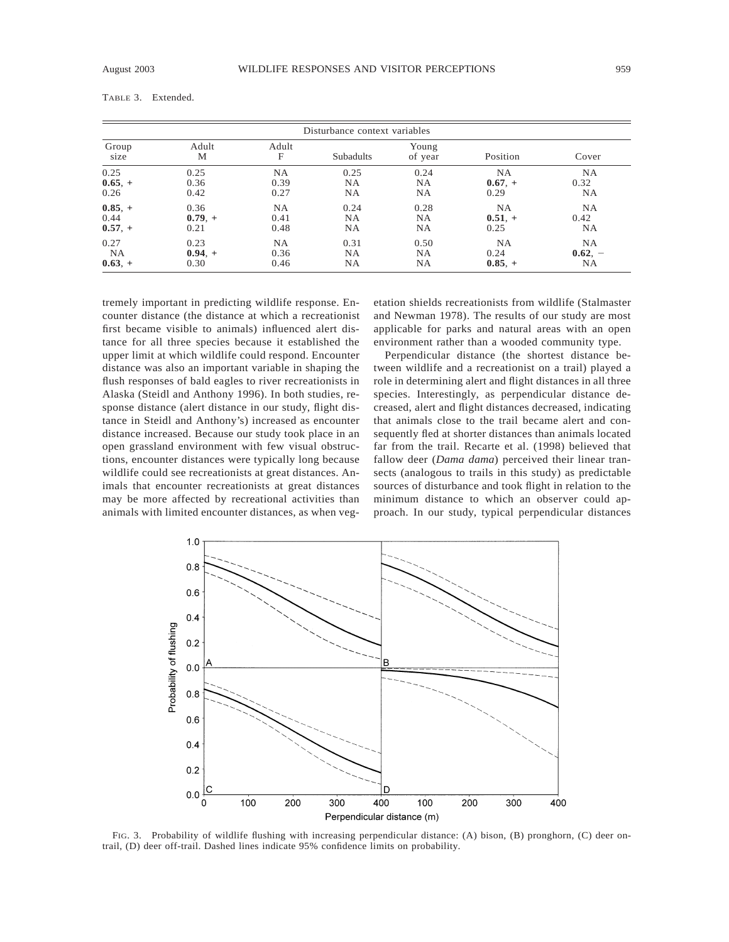**0.63**, **+**

| Disturbance context variables |            |            |                  |                  |           |           |
|-------------------------------|------------|------------|------------------|------------------|-----------|-----------|
| Group<br>size                 | Adult<br>М | Adult<br>F | <b>Subadults</b> | Young<br>of year | Position  | Cover     |
| 0.25                          | 0.25       | <b>NA</b>  | 0.25             | 0.24             | <b>NA</b> | <b>NA</b> |
| $0.65,+$                      | 0.36       | 0.39       | <b>NA</b>        | <b>NA</b>        | $0.67,+$  | 0.32      |
| 0.26                          | 0.42       | 0.27       | <b>NA</b>        | NA.              | 0.29      | <b>NA</b> |
| $0.85,+$                      | 0.36       | <b>NA</b>  | 0.24             | 0.28             | <b>NA</b> | <b>NA</b> |
| 0.44                          | $0.79.+$   | 0.41       | <b>NA</b>        | <b>NA</b>        | $0.51 +$  | 0.42      |
| $0.57,+$                      | 0.21       | 0.48       | NA               | NA.              | 0.25      | NA        |
| 0.27                          | 0.23       | <b>NA</b>  | 0.31             | 0.50             | <b>NA</b> | <b>NA</b> |
| <b>NA</b>                     | $0.94.+$   | 0.36       | <b>NA</b>        | <b>NA</b>        | 0.24      | $0.62. -$ |

NA

NA

TABLE 3. Extended.

tremely important in predicting wildlife response. Encounter distance (the distance at which a recreationist first became visible to animals) influenced alert distance for all three species because it established the upper limit at which wildlife could respond. Encounter distance was also an important variable in shaping the flush responses of bald eagles to river recreationists in Alaska (Steidl and Anthony 1996). In both studies, response distance (alert distance in our study, flight distance in Steidl and Anthony's) increased as encounter distance increased. Because our study took place in an open grassland environment with few visual obstructions, encounter distances were typically long because wildlife could see recreationists at great distances. Animals that encounter recreationists at great distances may be more affected by recreational activities than animals with limited encounter distances, as when veg-

0.46

0.30

etation shields recreationists from wildlife (Stalmaster and Newman 1978). The results of our study are most applicable for parks and natural areas with an open environment rather than a wooded community type.

**0.85**, **+**

Perpendicular distance (the shortest distance between wildlife and a recreationist on a trail) played a role in determining alert and flight distances in all three species. Interestingly, as perpendicular distance decreased, alert and flight distances decreased, indicating that animals close to the trail became alert and consequently fled at shorter distances than animals located far from the trail. Recarte et al. (1998) believed that fallow deer (*Dama dama*) perceived their linear transects (analogous to trails in this study) as predictable sources of disturbance and took flight in relation to the minimum distance to which an observer could approach. In our study, typical perpendicular distances



FIG. 3. Probability of wildlife flushing with increasing perpendicular distance: (A) bison, (B) pronghorn, (C) deer ontrail, (D) deer off-trail. Dashed lines indicate 95% confidence limits on probability.

NA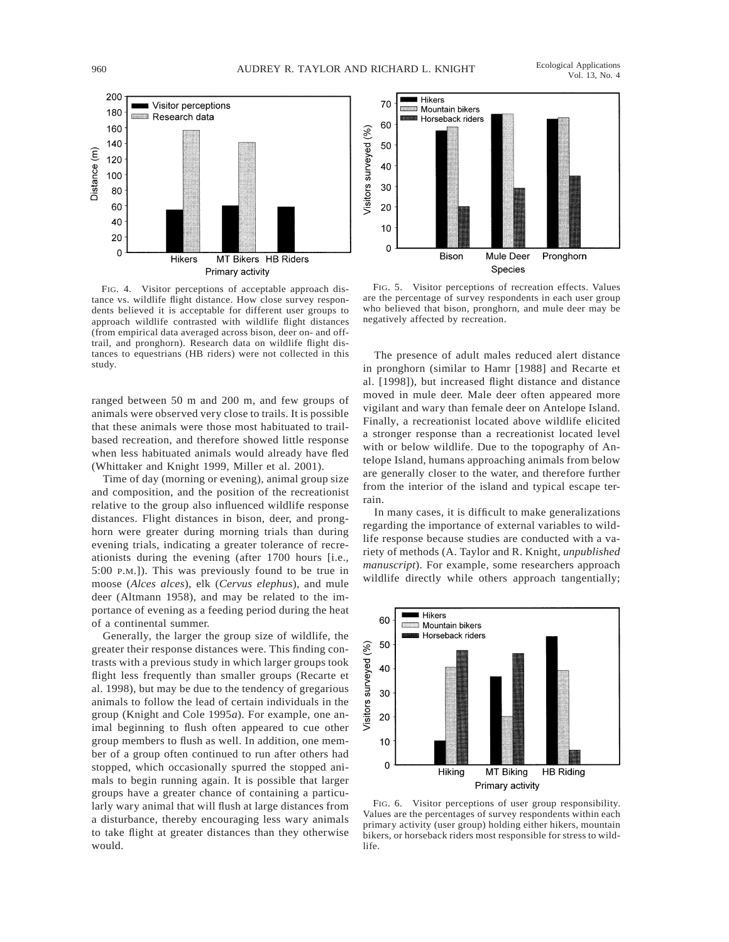

FIG. 4. Visitor perceptions of acceptable approach distance vs. wildlife flight distance. How close survey respondents believed it is acceptable for different user groups to approach wildlife contrasted with wildlife flight distances (from empirical data averaged across bison, deer on- and offtrail, and pronghorn). Research data on wildlife flight distances to equestrians (HB riders) were not collected in this study.

ranged between 50 m and 200 m, and few groups of animals were observed very close to trails. It is possible that these animals were those most habituated to trailbased recreation, and therefore showed little response when less habituated animals would already have fled (Whittaker and Knight 1999, Miller et al. 2001).

Time of day (morning or evening), animal group size and composition, and the position of the recreationist relative to the group also influenced wildlife response distances. Flight distances in bison, deer, and pronghorn were greater during morning trials than during evening trials, indicating a greater tolerance of recreationists during the evening (after 1700 hours [i.e., 5:00 P.M.]). This was previously found to be true in moose (*Alces alces*), elk (*Cervus elephus*), and mule deer (Altmann 1958), and may be related to the importance of evening as a feeding period during the heat of a continental summer.

Generally, the larger the group size of wildlife, the greater their response distances were. This finding contrasts with a previous study in which larger groups took flight less frequently than smaller groups (Recarte et al. 1998), but may be due to the tendency of gregarious animals to follow the lead of certain individuals in the group (Knight and Cole 1995*a*). For example, one animal beginning to flush often appeared to cue other group members to flush as well. In addition, one member of a group often continued to run after others had stopped, which occasionally spurred the stopped animals to begin running again. It is possible that larger groups have a greater chance of containing a particularly wary animal that will flush at large distances from a disturbance, thereby encouraging less wary animals to take flight at greater distances than they otherwise would.



FIG. 5. Visitor perceptions of recreation effects. Values are the percentage of survey respondents in each user group who believed that bison, pronghorn, and mule deer may be negatively affected by recreation.

The presence of adult males reduced alert distance in pronghorn (similar to Hamr [1988] and Recarte et al. [1998]), but increased flight distance and distance moved in mule deer. Male deer often appeared more vigilant and wary than female deer on Antelope Island. Finally, a recreationist located above wildlife elicited a stronger response than a recreationist located level with or below wildlife. Due to the topography of Antelope Island, humans approaching animals from below are generally closer to the water, and therefore further from the interior of the island and typical escape terrain.

In many cases, it is difficult to make generalizations regarding the importance of external variables to wildlife response because studies are conducted with a variety of methods (A. Taylor and R. Knight, *unpublished manuscript*). For example, some researchers approach wildlife directly while others approach tangentially;



FIG. 6. Visitor perceptions of user group responsibility. Values are the percentages of survey respondents within each primary activity (user group) holding either hikers, mountain bikers, or horseback riders most responsible for stress to wildlife.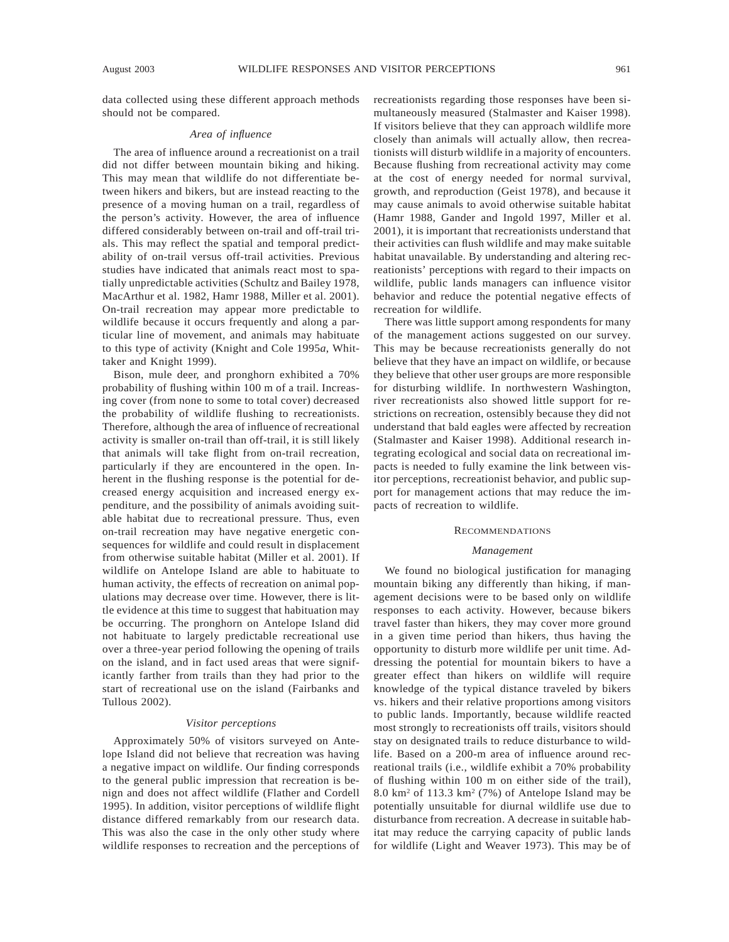data collected using these different approach methods should not be compared.

## *Area of influence*

The area of influence around a recreationist on a trail did not differ between mountain biking and hiking. This may mean that wildlife do not differentiate between hikers and bikers, but are instead reacting to the presence of a moving human on a trail, regardless of the person's activity. However, the area of influence differed considerably between on-trail and off-trail trials. This may reflect the spatial and temporal predictability of on-trail versus off-trail activities. Previous studies have indicated that animals react most to spatially unpredictable activities (Schultz and Bailey 1978, MacArthur et al. 1982, Hamr 1988, Miller et al. 2001). On-trail recreation may appear more predictable to wildlife because it occurs frequently and along a particular line of movement, and animals may habituate to this type of activity (Knight and Cole 1995*a*, Whittaker and Knight 1999).

Bison, mule deer, and pronghorn exhibited a 70% probability of flushing within 100 m of a trail. Increasing cover (from none to some to total cover) decreased the probability of wildlife flushing to recreationists. Therefore, although the area of influence of recreational activity is smaller on-trail than off-trail, it is still likely that animals will take flight from on-trail recreation, particularly if they are encountered in the open. Inherent in the flushing response is the potential for decreased energy acquisition and increased energy expenditure, and the possibility of animals avoiding suitable habitat due to recreational pressure. Thus, even on-trail recreation may have negative energetic consequences for wildlife and could result in displacement from otherwise suitable habitat (Miller et al. 2001). If wildlife on Antelope Island are able to habituate to human activity, the effects of recreation on animal populations may decrease over time. However, there is little evidence at this time to suggest that habituation may be occurring. The pronghorn on Antelope Island did not habituate to largely predictable recreational use over a three-year period following the opening of trails on the island, and in fact used areas that were significantly farther from trails than they had prior to the start of recreational use on the island (Fairbanks and Tullous 2002).

## *Visitor perceptions*

Approximately 50% of visitors surveyed on Antelope Island did not believe that recreation was having a negative impact on wildlife. Our finding corresponds to the general public impression that recreation is benign and does not affect wildlife (Flather and Cordell 1995). In addition, visitor perceptions of wildlife flight distance differed remarkably from our research data. This was also the case in the only other study where wildlife responses to recreation and the perceptions of recreationists regarding those responses have been simultaneously measured (Stalmaster and Kaiser 1998). If visitors believe that they can approach wildlife more closely than animals will actually allow, then recreationists will disturb wildlife in a majority of encounters. Because flushing from recreational activity may come at the cost of energy needed for normal survival, growth, and reproduction (Geist 1978), and because it may cause animals to avoid otherwise suitable habitat (Hamr 1988, Gander and Ingold 1997, Miller et al. 2001), it is important that recreationists understand that their activities can flush wildlife and may make suitable habitat unavailable. By understanding and altering recreationists' perceptions with regard to their impacts on wildlife, public lands managers can influence visitor behavior and reduce the potential negative effects of recreation for wildlife.

There was little support among respondents for many of the management actions suggested on our survey. This may be because recreationists generally do not believe that they have an impact on wildlife, or because they believe that other user groups are more responsible for disturbing wildlife. In northwestern Washington, river recreationists also showed little support for restrictions on recreation, ostensibly because they did not understand that bald eagles were affected by recreation (Stalmaster and Kaiser 1998). Additional research integrating ecological and social data on recreational impacts is needed to fully examine the link between visitor perceptions, recreationist behavior, and public support for management actions that may reduce the impacts of recreation to wildlife.

#### RECOMMENDATIONS

## *Management*

We found no biological justification for managing mountain biking any differently than hiking, if management decisions were to be based only on wildlife responses to each activity. However, because bikers travel faster than hikers, they may cover more ground in a given time period than hikers, thus having the opportunity to disturb more wildlife per unit time. Addressing the potential for mountain bikers to have a greater effect than hikers on wildlife will require knowledge of the typical distance traveled by bikers vs. hikers and their relative proportions among visitors to public lands. Importantly, because wildlife reacted most strongly to recreationists off trails, visitors should stay on designated trails to reduce disturbance to wildlife. Based on a 200-m area of influence around recreational trails (i.e., wildlife exhibit a 70% probability of flushing within 100 m on either side of the trail),  $8.0 \text{ km}^2$  of 113.3 km<sup>2</sup> (7%) of Antelope Island may be potentially unsuitable for diurnal wildlife use due to disturbance from recreation. A decrease in suitable habitat may reduce the carrying capacity of public lands for wildlife (Light and Weaver 1973). This may be of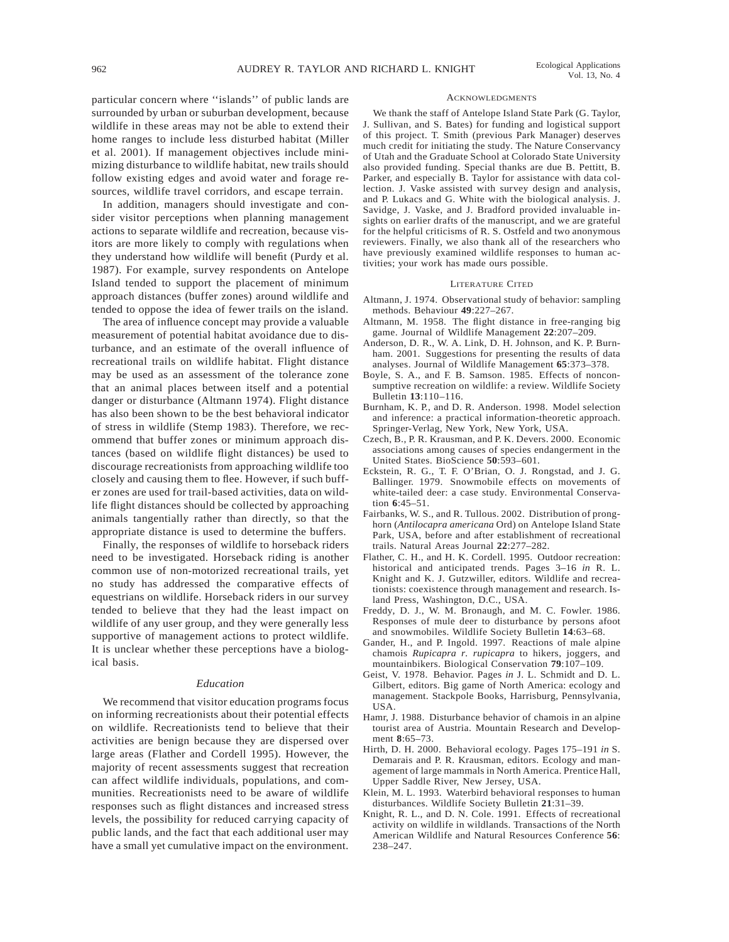particular concern where ''islands'' of public lands are surrounded by urban or suburban development, because wildlife in these areas may not be able to extend their home ranges to include less disturbed habitat (Miller et al. 2001). If management objectives include minimizing disturbance to wildlife habitat, new trails should follow existing edges and avoid water and forage resources, wildlife travel corridors, and escape terrain.

In addition, managers should investigate and consider visitor perceptions when planning management actions to separate wildlife and recreation, because visitors are more likely to comply with regulations when they understand how wildlife will benefit (Purdy et al. 1987). For example, survey respondents on Antelope Island tended to support the placement of minimum approach distances (buffer zones) around wildlife and tended to oppose the idea of fewer trails on the island.

The area of influence concept may provide a valuable measurement of potential habitat avoidance due to disturbance, and an estimate of the overall influence of recreational trails on wildlife habitat. Flight distance may be used as an assessment of the tolerance zone that an animal places between itself and a potential danger or disturbance (Altmann 1974). Flight distance has also been shown to be the best behavioral indicator of stress in wildlife (Stemp 1983). Therefore, we recommend that buffer zones or minimum approach distances (based on wildlife flight distances) be used to discourage recreationists from approaching wildlife too closely and causing them to flee. However, if such buffer zones are used for trail-based activities, data on wildlife flight distances should be collected by approaching animals tangentially rather than directly, so that the appropriate distance is used to determine the buffers.

Finally, the responses of wildlife to horseback riders need to be investigated. Horseback riding is another common use of non-motorized recreational trails, yet no study has addressed the comparative effects of equestrians on wildlife. Horseback riders in our survey tended to believe that they had the least impact on wildlife of any user group, and they were generally less supportive of management actions to protect wildlife. It is unclear whether these perceptions have a biological basis.

## *Education*

We recommend that visitor education programs focus on informing recreationists about their potential effects on wildlife. Recreationists tend to believe that their activities are benign because they are dispersed over large areas (Flather and Cordell 1995). However, the majority of recent assessments suggest that recreation can affect wildlife individuals, populations, and communities. Recreationists need to be aware of wildlife responses such as flight distances and increased stress levels, the possibility for reduced carrying capacity of public lands, and the fact that each additional user may have a small yet cumulative impact on the environment.

## **ACKNOWLEDGMENTS**

We thank the staff of Antelope Island State Park (G. Taylor, J. Sullivan, and S. Bates) for funding and logistical support of this project. T. Smith (previous Park Manager) deserves much credit for initiating the study. The Nature Conservancy of Utah and the Graduate School at Colorado State University also provided funding. Special thanks are due B. Pettitt, B. Parker, and especially B. Taylor for assistance with data collection. J. Vaske assisted with survey design and analysis, and P. Lukacs and G. White with the biological analysis. J. Savidge, J. Vaske, and J. Bradford provided invaluable insights on earlier drafts of the manuscript, and we are grateful for the helpful criticisms of R. S. Ostfeld and two anonymous reviewers. Finally, we also thank all of the researchers who have previously examined wildlife responses to human activities; your work has made ours possible.

## LITERATURE CITED

- Altmann, J. 1974. Observational study of behavior: sampling methods. Behaviour **49**:227–267.
- Altmann, M. 1958. The flight distance in free-ranging big game. Journal of Wildlife Management **22**:207–209.
- Anderson, D. R., W. A. Link, D. H. Johnson, and K. P. Burnham. 2001. Suggestions for presenting the results of data analyses. Journal of Wildlife Management **65**:373–378.
- Boyle, S. A., and F. B. Samson. 1985. Effects of nonconsumptive recreation on wildlife: a review. Wildlife Society Bulletin **13**:110–116.
- Burnham, K. P., and D. R. Anderson. 1998. Model selection and inference: a practical information-theoretic approach. Springer-Verlag, New York, New York, USA.
- Czech, B., P. R. Krausman, and P. K. Devers. 2000. Economic associations among causes of species endangerment in the United States. BioScience **50**:593–601.
- Eckstein, R. G., T. F. O'Brian, O. J. Rongstad, and J. G. Ballinger. 1979. Snowmobile effects on movements of white-tailed deer: a case study. Environmental Conservation **6**:45–51.
- Fairbanks, W. S., and R. Tullous. 2002. Distribution of pronghorn (*Antilocapra americana* Ord) on Antelope Island State Park, USA, before and after establishment of recreational trails. Natural Areas Journal **22**:277–282.
- Flather, C. H., and H. K. Cordell. 1995. Outdoor recreation: historical and anticipated trends. Pages 3–16 *in* R. L. Knight and K. J. Gutzwiller, editors. Wildlife and recreationists: coexistence through management and research. Island Press, Washington, D.C., USA.
- Freddy, D. J., W. M. Bronaugh, and M. C. Fowler. 1986. Responses of mule deer to disturbance by persons afoot and snowmobiles. Wildlife Society Bulletin **14**:63–68.
- Gander, H., and P. Ingold. 1997. Reactions of male alpine chamois *Rupicapra r. rupicapra* to hikers, joggers, and mountainbikers. Biological Conservation **79**:107–109.
- Geist, V. 1978. Behavior. Pages *in* J. L. Schmidt and D. L. Gilbert, editors. Big game of North America: ecology and management. Stackpole Books, Harrisburg, Pennsylvania, USA.
- Hamr, J. 1988. Disturbance behavior of chamois in an alpine tourist area of Austria. Mountain Research and Development **8**:65–73.
- Hirth, D. H. 2000. Behavioral ecology. Pages 175–191 *in* S. Demarais and P. R. Krausman, editors. Ecology and management of large mammals in North America. Prentice Hall, Upper Saddle River, New Jersey, USA.
- Klein, M. L. 1993. Waterbird behavioral responses to human disturbances. Wildlife Society Bulletin **21**:31–39.
- Knight, R. L., and D. N. Cole. 1991. Effects of recreational activity on wildlife in wildlands. Transactions of the North American Wildlife and Natural Resources Conference **56**: 238–247.